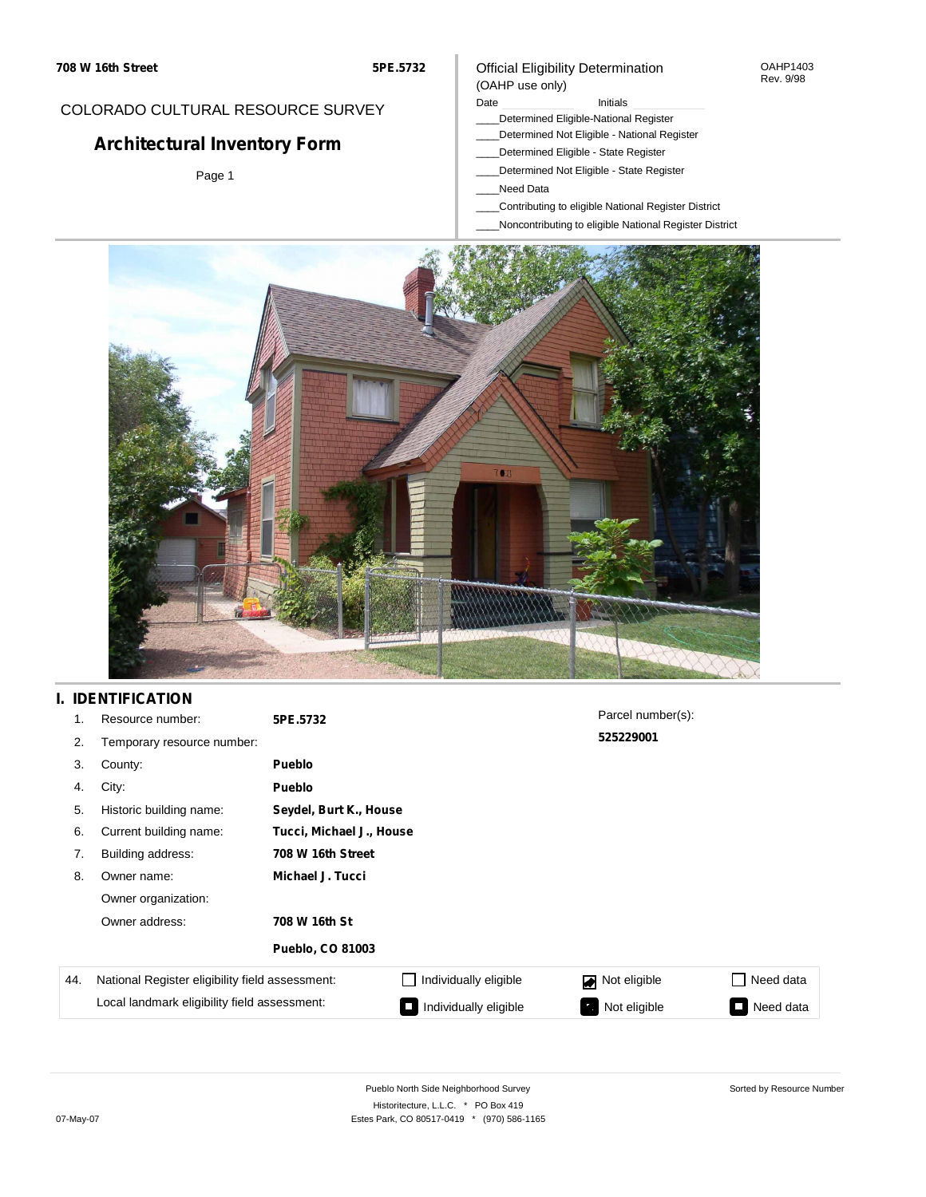#### OAHP1403 Rev. 9/98

## COLORADO CULTURAL RESOURCE SURVEY

# **Architectural Inventory Form**

Page 1

#### (OAHP use only) Date **Initials** Initials

Official Eligibility Determination

- \_\_\_\_Determined Eligible-National Register
- \_\_\_\_Determined Not Eligible National Register
- \_\_\_\_Determined Eligible State Register
- \_\_\_\_Determined Not Eligible State Register
- \_\_\_\_Need Data
- \_\_\_\_Contributing to eligible National Register District
- \_\_\_\_Noncontributing to eligible National Register District



## **I. IDENTIFICATION**

| 1.  | Resource number:                                | 5PE.5732                |                          | Parcel number(s): |                  |  |  |  |
|-----|-------------------------------------------------|-------------------------|--------------------------|-------------------|------------------|--|--|--|
| 2.  | Temporary resource number:                      |                         |                          | 525229001         |                  |  |  |  |
| 3.  | County:                                         | <b>Pueblo</b>           |                          |                   |                  |  |  |  |
| 4.  | City:                                           | <b>Pueblo</b>           |                          |                   |                  |  |  |  |
| 5.  | Historic building name:                         |                         | Seydel, Burt K., House   |                   |                  |  |  |  |
| 6.  | Current building name:                          |                         | Tucci, Michael J., House |                   |                  |  |  |  |
| 7.  | Building address:                               | 708 W 16th Street       |                          |                   |                  |  |  |  |
| 8.  | Owner name:                                     | Michael J. Tucci        |                          |                   |                  |  |  |  |
|     | Owner organization:                             |                         |                          |                   |                  |  |  |  |
|     | Owner address:                                  | 708 W 16th St           |                          |                   |                  |  |  |  |
|     |                                                 | <b>Pueblo, CO 81003</b> |                          |                   |                  |  |  |  |
| 44. | National Register eligibility field assessment: |                         | Individually eligible    | Not eligible      | $\Box$ Need data |  |  |  |
|     | Local landmark eligibility field assessment:    |                         | Individually eligible    | Not eligible      | Need data<br>Ξ   |  |  |  |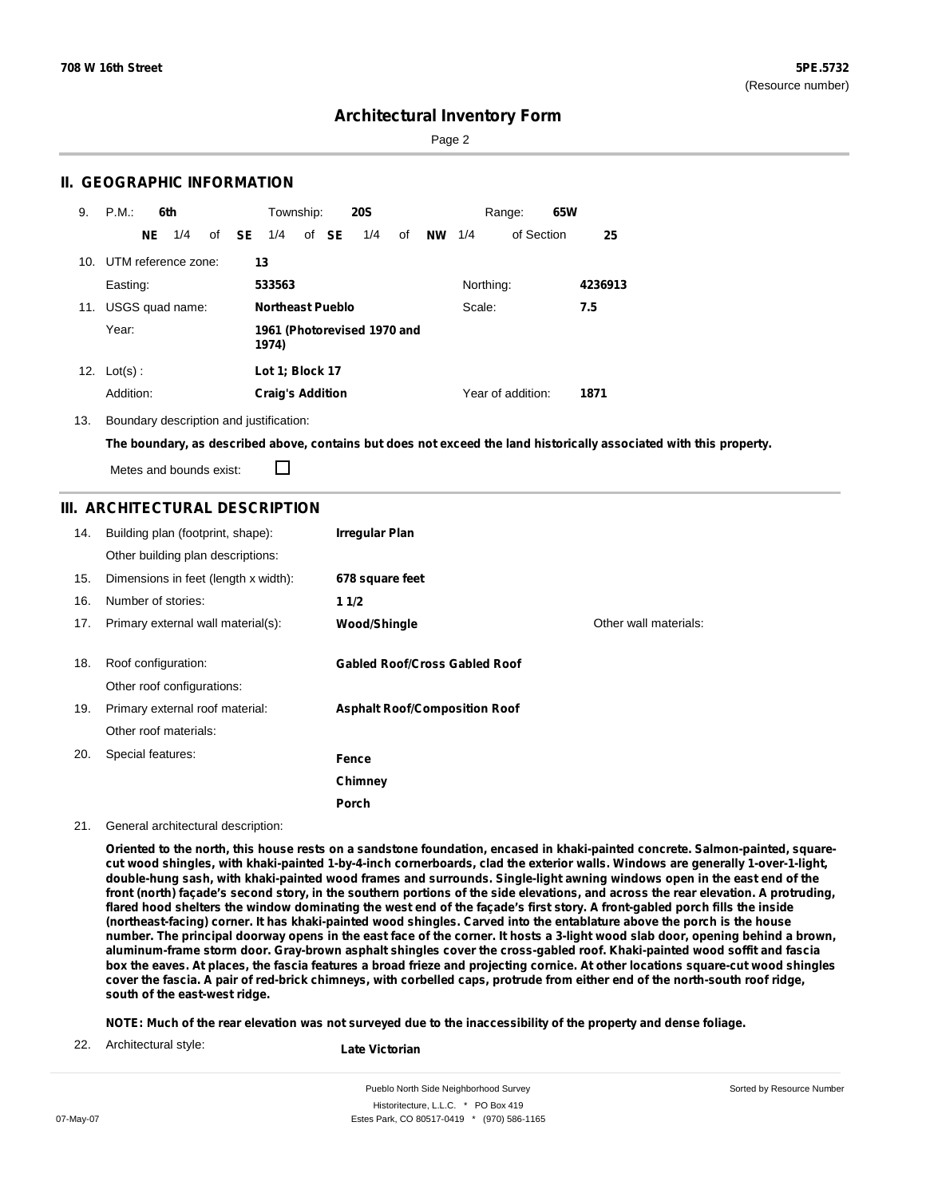Sorted by Resource Number

## **Architectural Inventory Form**

Page 2

### **II. GEOGRAPHIC INFORMATION**

| 9.  | P.M.                    |     | 6th             |              | Township:                            |  |       | <b>20S</b> |    |           |           | Range:            | 65W |         |
|-----|-------------------------|-----|-----------------|--------------|--------------------------------------|--|-------|------------|----|-----------|-----------|-------------------|-----|---------|
|     |                         | NE. | 1/4             | of <b>SE</b> | 1/4                                  |  | of SE | 1/4        | of | <b>NW</b> | 1/4       | of Section        |     | 25      |
|     | 10. UTM reference zone: |     |                 |              | 13                                   |  |       |            |    |           |           |                   |     |         |
|     | Easting:                |     |                 |              | 533563                               |  |       |            |    |           | Northing: |                   |     | 4236913 |
| 11. |                         |     | USGS quad name: |              | <b>Northeast Pueblo</b>              |  |       |            |    |           | Scale:    |                   |     | 7.5     |
|     | Year:                   |     |                 |              | 1961 (Photorevised 1970 and<br>1974) |  |       |            |    |           |           |                   |     |         |
|     | 12. $Lot(s)$ :          |     |                 |              | Lot 1; Block 17                      |  |       |            |    |           |           |                   |     |         |
|     | Addition:               |     |                 |              | <b>Craig's Addition</b>              |  |       |            |    |           |           | Year of addition: |     | 1871    |

13. Boundary description and justification:

The boundary, as described above, contains but does not exceed the land historically associated with this property.

П Metes and bounds exist:

### **III. ARCHITECTURAL DESCRIPTION**

| 14. | Building plan (footprint, shape):<br>Other building plan descriptions: | Irregular Plan                       |                       |
|-----|------------------------------------------------------------------------|--------------------------------------|-----------------------|
| 15. | Dimensions in feet (length x width):                                   | 678 square feet                      |                       |
| 16. | Number of stories:                                                     | 11/2                                 |                       |
| 17. | Primary external wall material(s):                                     | Wood/Shingle                         | Other wall materials: |
|     |                                                                        |                                      |                       |
| 18. | Roof configuration:                                                    | <b>Gabled Roof/Cross Gabled Roof</b> |                       |
|     | Other roof configurations:                                             |                                      |                       |
| 19. | Primary external roof material:                                        | <b>Asphalt Roof/Composition Roof</b> |                       |
|     | Other roof materials:                                                  |                                      |                       |
| 20. | Special features:                                                      | Fence                                |                       |
|     |                                                                        | Chimney                              |                       |
|     |                                                                        | Porch                                |                       |

#### 21. General architectural description:

Oriented to the north, this house rests on a sandstone foundation, encased in khaki-painted concrete. Salmon-painted, squarecut wood shingles, with khaki-painted 1-by-4-inch cornerboards, clad the exterior walls. Windows are generally 1-over-1-light, double-hung sash, with khaki-painted wood frames and surrounds. Single-light awning windows open in the east end of the front (north) façade's second story, in the southern portions of the side elevations, and across the rear elevation. A protruding, flared hood shelters the window dominating the west end of the façade's first story. A front-gabled porch fills the inside (northeast-facing) corner. It has khaki-painted wood shingles. Carved into the entablature above the porch is the house number. The principal doorway opens in the east face of the corner. It hosts a 3-light wood slab door, opening behind a brown, aluminum-frame storm door. Gray-brown asphalt shingles cover the cross-gabled roof. Khaki-painted wood soffit and fascia box the eaves. At places, the fascia features a broad frieze and projecting cornice. At other locations square-cut wood shingles cover the fascia. A pair of red-brick chimneys, with corbelled caps, protrude from either end of the north-south roof ridge, **south of the east-west ridge.**

NOTE: Much of the rear elevation was not surveyed due to the inaccessibility of the property and dense foliage.

22. Architectural style:

**Late Victorian**

Pueblo North Side Neighborhood Survey Historitecture, L.L.C. \* PO Box 419 07-May-07 **Estes Park, CO 80517-0419** \* (970) 586-1165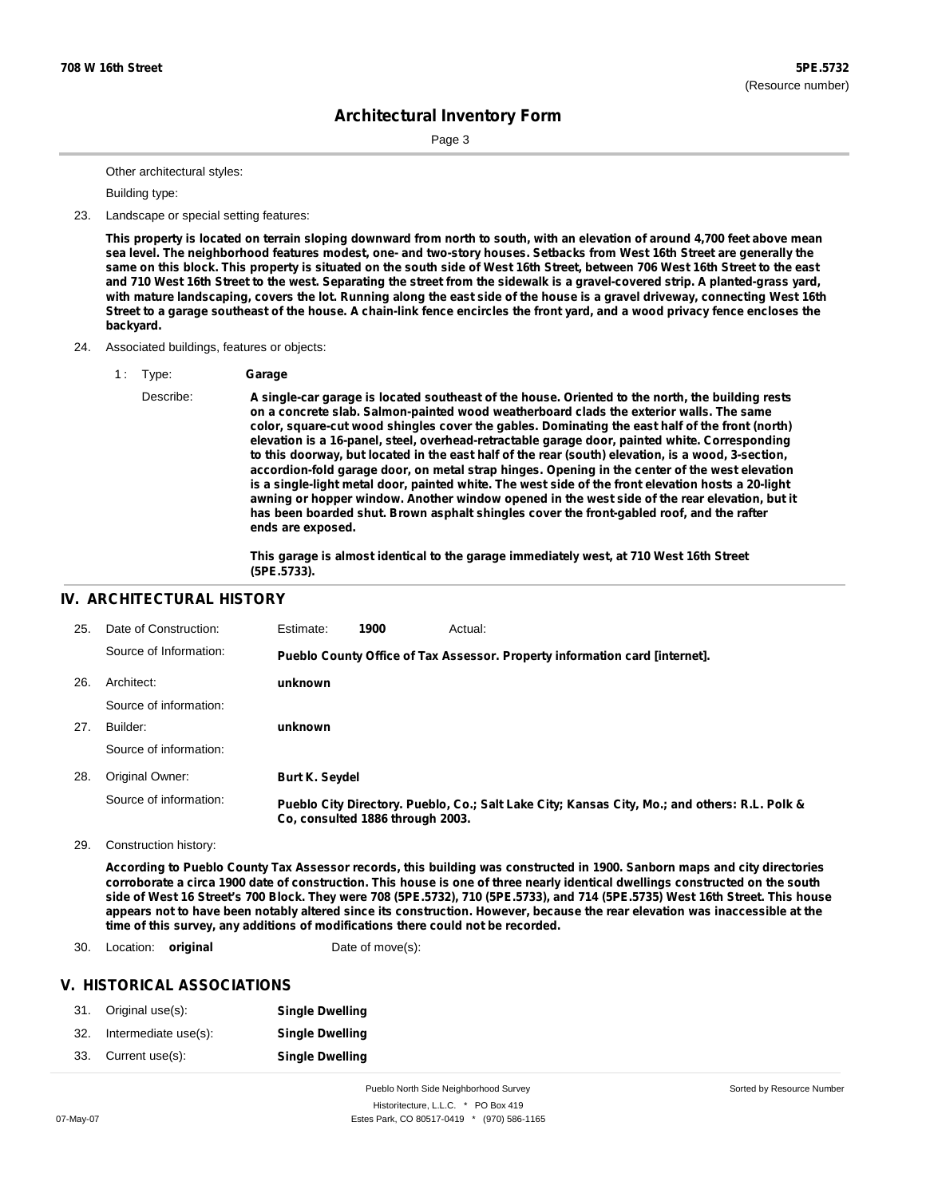Page 3

Other architectural styles:

Building type:

23. Landscape or special setting features:

This property is located on terrain sloping downward from north to south, with an elevation of around 4,700 feet above mean sea level. The neighborhood features modest, one- and two-story houses. Setbacks from West 16th Street are generally the same on this block. This property is situated on the south side of West 16th Street, between 706 West 16th Street to the east and 710 West 16th Street to the west. Separating the street from the sidewalk is a gravel-covered strip. A planted-grass yard, with mature landscaping, covers the lot. Running along the east side of the house is a gravel driveway, connecting West 16th Street to a garage southeast of the house. A chain-link fence encircles the front yard, and a wood privacy fence encloses the **backyard.**

- 24. Associated buildings, features or objects:
	- 1 : Type: **Garage**
		- Describe: **A single-car garage is located southeast of the house. Oriented to the north, the building rests on a concrete slab. Salmon-painted wood weatherboard clads the exterior walls. The same color, square-cut wood shingles cover the gables. Dominating the east half of the front (north) elevation is a 16-panel, steel, overhead-retractable garage door, painted white. Corresponding to this doorway, but located in the east half of the rear (south) elevation, is a wood, 3-section, accordion-fold garage door, on metal strap hinges. Opening in the center of the west elevation is a single-light metal door, painted white. The west side of the front elevation hosts a 20-light awning or hopper window. Another window opened in the west side of the rear elevation, but it has been boarded shut. Brown asphalt shingles cover the front-gabled roof, and the rafter ends are exposed.**

**This garage is almost identical to the garage immediately west, at 710 West 16th Street (5PE.5733).**

### **IV. ARCHITECTURAL HISTORY**

| 25. | Date of Construction:  | Estimate:             | 1900                             | Actual:                                                                                       |
|-----|------------------------|-----------------------|----------------------------------|-----------------------------------------------------------------------------------------------|
|     | Source of Information: |                       |                                  | Pueblo County Office of Tax Assessor. Property information card [internet].                   |
| 26. | Architect:             | unknown               |                                  |                                                                                               |
|     | Source of information: |                       |                                  |                                                                                               |
| 27. | Builder:               | unknown               |                                  |                                                                                               |
|     | Source of information: |                       |                                  |                                                                                               |
| 28. | Original Owner:        | <b>Burt K. Seydel</b> |                                  |                                                                                               |
|     | Source of information: |                       | Co. consulted 1886 through 2003. | Pueblo City Directory. Pueblo, Co.; Salt Lake City; Kansas City, Mo.; and others: R.L. Polk & |

29. Construction history:

According to Pueblo County Tax Assessor records, this building was constructed in 1900. Sanborn maps and city directories corroborate a circa 1900 date of construction. This house is one of three nearly identical dwellings constructed on the south side of West 16 Street's 700 Block. They were 708 (5PE.5732), 710 (5PE.5733), and 714 (5PE.5735) West 16th Street. This house appears not to have been notably altered since its construction. However, because the rear elevation was inaccessible at the **time of this survey, any additions of modifications there could not be recorded.**

30. Location: **original** Date of move(s):

#### **V. HISTORICAL ASSOCIATIONS**

|     | 31. Original use(s): | <b>Single Dwelling</b> |
|-----|----------------------|------------------------|
| 32. | Intermediate use(s): | <b>Single Dwelling</b> |
| 33. | Current use(s):      | <b>Single Dwelling</b> |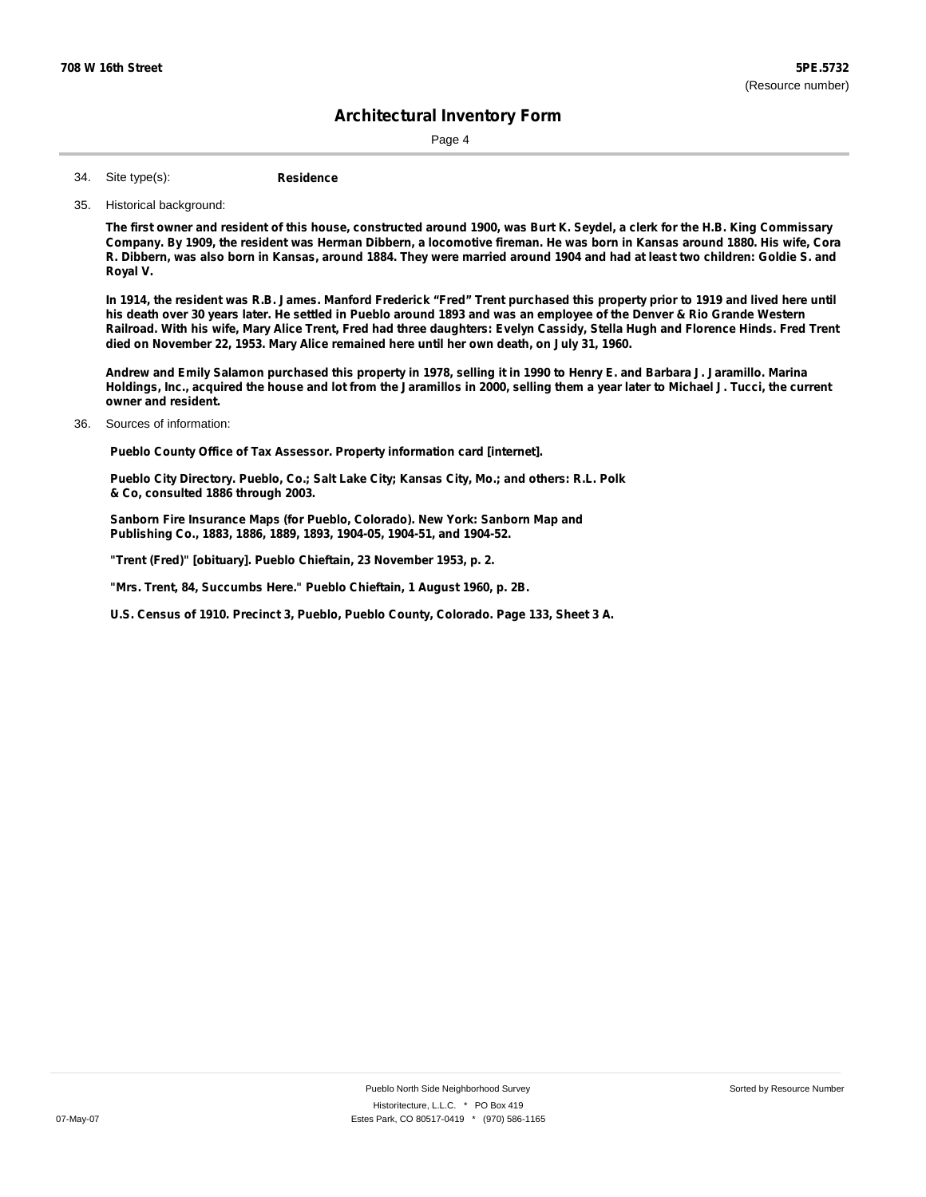Page 4

**Residence** Site type(s): 34.

35. Historical background:

The first owner and resident of this house, constructed around 1900, was Burt K. Seydel, a clerk for the H.B. King Commissary Company. By 1909, the resident was Herman Dibbern, a locomotive fireman. He was born in Kansas around 1880. His wife, Cora R. Dibbern, was also born in Kansas, around 1884. They were married around 1904 and had at least two children: Goldie S. and **Royal V.**

In 1914, the resident was R.B. James. Manford Frederick "Fred" Trent purchased this property prior to 1919 and lived here until his death over 30 years later. He settled in Pueblo around 1893 and was an employee of the Denver & Rio Grande Western Railroad. With his wife, Mary Alice Trent, Fred had three daughters: Evelyn Cassidy, Stella Hugh and Florence Hinds. Fred Trent **died on November 22, 1953. Mary Alice remained here until her own death, on July 31, 1960.**

Andrew and Emily Salamon purchased this property in 1978, selling it in 1990 to Henry E. and Barbara J. Jaramillo. Marina Holdings, Inc., acquired the house and lot from the Jaramillos in 2000, selling them a year later to Michael J. Tucci, the current **owner and resident.**

36. Sources of information:

**Pueblo County Office of Tax Assessor. Property information card [internet].**

**Pueblo City Directory. Pueblo, Co.; Salt Lake City; Kansas City, Mo.; and others: R.L. Polk & Co, consulted 1886 through 2003.**

**Sanborn Fire Insurance Maps (for Pueblo, Colorado). New York: Sanborn Map and Publishing Co., 1883, 1886, 1889, 1893, 1904-05, 1904-51, and 1904-52.**

**"Trent (Fred)" [obituary]. Pueblo Chieftain, 23 November 1953, p. 2.**

**"Mrs. Trent, 84, Succumbs Here." Pueblo Chieftain, 1 August 1960, p. 2B.**

**U.S. Census of 1910. Precinct 3, Pueblo, Pueblo County, Colorado. Page 133, Sheet 3 A.**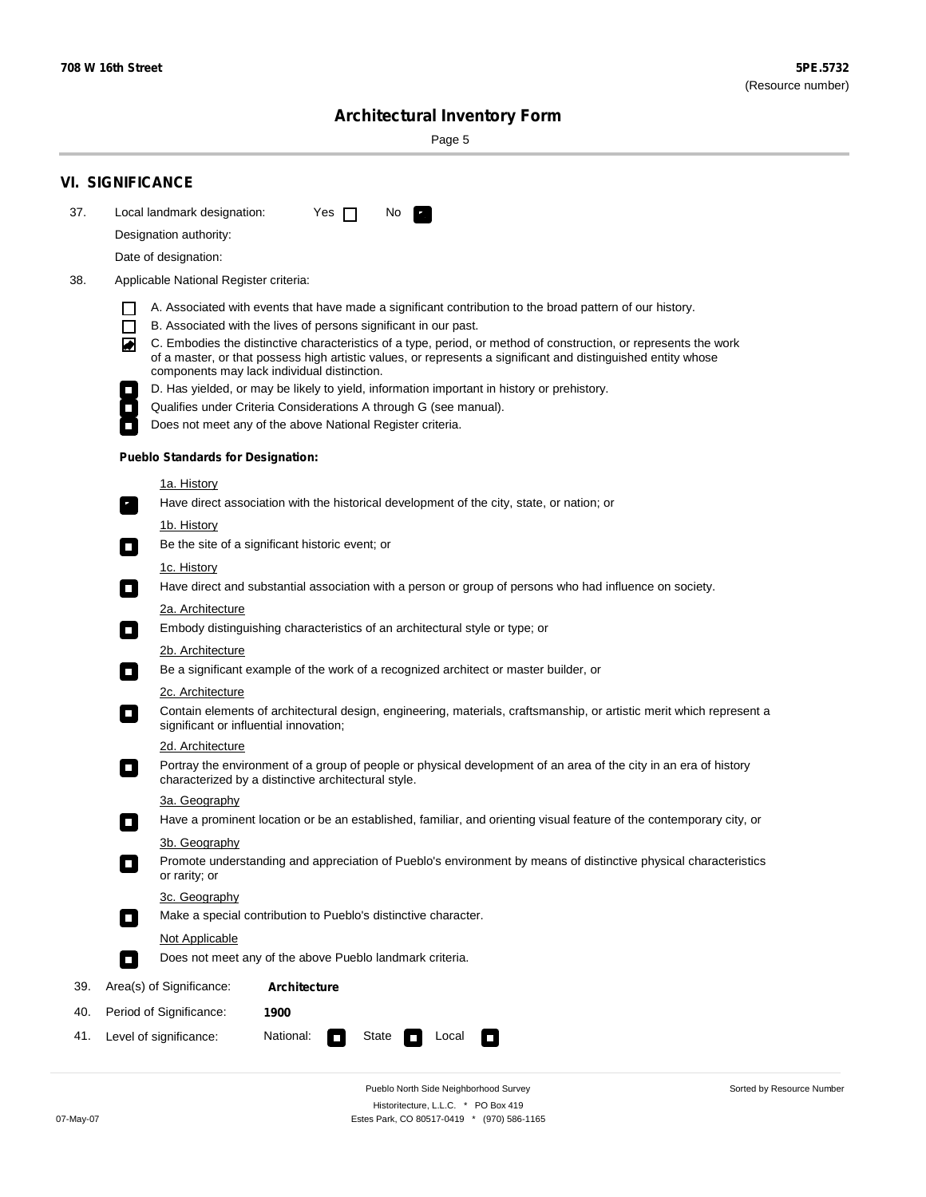۰

Sorted by Resource Number

# **Architectural Inventory Form**

Page 5

|     | <b>VI. SIGNIFICANCE</b>                                                                                                                                                                                                                                                                                                                                                                                                                                                                                                                                                                                                                                                                                                                                            |  |  |  |  |  |  |  |
|-----|--------------------------------------------------------------------------------------------------------------------------------------------------------------------------------------------------------------------------------------------------------------------------------------------------------------------------------------------------------------------------------------------------------------------------------------------------------------------------------------------------------------------------------------------------------------------------------------------------------------------------------------------------------------------------------------------------------------------------------------------------------------------|--|--|--|--|--|--|--|
| 37. | Local landmark designation:<br>Yes $\Box$<br>No.                                                                                                                                                                                                                                                                                                                                                                                                                                                                                                                                                                                                                                                                                                                   |  |  |  |  |  |  |  |
|     | Designation authority:                                                                                                                                                                                                                                                                                                                                                                                                                                                                                                                                                                                                                                                                                                                                             |  |  |  |  |  |  |  |
|     | Date of designation:                                                                                                                                                                                                                                                                                                                                                                                                                                                                                                                                                                                                                                                                                                                                               |  |  |  |  |  |  |  |
| 38. | Applicable National Register criteria:                                                                                                                                                                                                                                                                                                                                                                                                                                                                                                                                                                                                                                                                                                                             |  |  |  |  |  |  |  |
|     | A. Associated with events that have made a significant contribution to the broad pattern of our history.<br>l.<br>B. Associated with the lives of persons significant in our past.<br>$\Box$<br>C. Embodies the distinctive characteristics of a type, period, or method of construction, or represents the work<br>◙<br>of a master, or that possess high artistic values, or represents a significant and distinguished entity whose<br>components may lack individual distinction.<br>D. Has yielded, or may be likely to yield, information important in history or prehistory.<br>Qualifies under Criteria Considerations A through G (see manual).<br>Does not meet any of the above National Register criteria.<br><b>Pueblo Standards for Designation:</b> |  |  |  |  |  |  |  |
|     |                                                                                                                                                                                                                                                                                                                                                                                                                                                                                                                                                                                                                                                                                                                                                                    |  |  |  |  |  |  |  |
|     | 1a. History<br>Have direct association with the historical development of the city, state, or nation; or                                                                                                                                                                                                                                                                                                                                                                                                                                                                                                                                                                                                                                                           |  |  |  |  |  |  |  |
|     | <u>1b. History</u>                                                                                                                                                                                                                                                                                                                                                                                                                                                                                                                                                                                                                                                                                                                                                 |  |  |  |  |  |  |  |
|     | Be the site of a significant historic event; or<br>$\mathcal{L}_{\mathcal{A}}$                                                                                                                                                                                                                                                                                                                                                                                                                                                                                                                                                                                                                                                                                     |  |  |  |  |  |  |  |
|     | 1c. History<br>Have direct and substantial association with a person or group of persons who had influence on society.<br>$\blacksquare$                                                                                                                                                                                                                                                                                                                                                                                                                                                                                                                                                                                                                           |  |  |  |  |  |  |  |
|     | 2a. Architecture                                                                                                                                                                                                                                                                                                                                                                                                                                                                                                                                                                                                                                                                                                                                                   |  |  |  |  |  |  |  |
|     | Embody distinguishing characteristics of an architectural style or type; or<br>$\overline{\phantom{a}}$                                                                                                                                                                                                                                                                                                                                                                                                                                                                                                                                                                                                                                                            |  |  |  |  |  |  |  |
|     | 2b. Architecture<br>Be a significant example of the work of a recognized architect or master builder, or<br>$\sim$                                                                                                                                                                                                                                                                                                                                                                                                                                                                                                                                                                                                                                                 |  |  |  |  |  |  |  |
|     | 2c. Architecture                                                                                                                                                                                                                                                                                                                                                                                                                                                                                                                                                                                                                                                                                                                                                   |  |  |  |  |  |  |  |
|     | Contain elements of architectural design, engineering, materials, craftsmanship, or artistic merit which represent a<br>О<br>significant or influential innovation;                                                                                                                                                                                                                                                                                                                                                                                                                                                                                                                                                                                                |  |  |  |  |  |  |  |
|     | 2d. Architecture                                                                                                                                                                                                                                                                                                                                                                                                                                                                                                                                                                                                                                                                                                                                                   |  |  |  |  |  |  |  |
|     | Portray the environment of a group of people or physical development of an area of the city in an era of history<br>$\Box$<br>characterized by a distinctive architectural style.                                                                                                                                                                                                                                                                                                                                                                                                                                                                                                                                                                                  |  |  |  |  |  |  |  |
|     | 3a. Geography                                                                                                                                                                                                                                                                                                                                                                                                                                                                                                                                                                                                                                                                                                                                                      |  |  |  |  |  |  |  |
|     | Have a prominent location or be an established, familiar, and orienting visual feature of the contemporary city, or                                                                                                                                                                                                                                                                                                                                                                                                                                                                                                                                                                                                                                                |  |  |  |  |  |  |  |
|     | 3b. Geography<br>Promote understanding and appreciation of Pueblo's environment by means of distinctive physical characteristics<br>or rarity; or                                                                                                                                                                                                                                                                                                                                                                                                                                                                                                                                                                                                                  |  |  |  |  |  |  |  |
|     | 3c. Geography<br>Make a special contribution to Pueblo's distinctive character.<br>$\sim$                                                                                                                                                                                                                                                                                                                                                                                                                                                                                                                                                                                                                                                                          |  |  |  |  |  |  |  |
|     | Not Applicable                                                                                                                                                                                                                                                                                                                                                                                                                                                                                                                                                                                                                                                                                                                                                     |  |  |  |  |  |  |  |
|     | Does not meet any of the above Pueblo landmark criteria.<br>$\overline{\phantom{a}}$                                                                                                                                                                                                                                                                                                                                                                                                                                                                                                                                                                                                                                                                               |  |  |  |  |  |  |  |
| 39. | Area(s) of Significance:<br><b>Architecture</b>                                                                                                                                                                                                                                                                                                                                                                                                                                                                                                                                                                                                                                                                                                                    |  |  |  |  |  |  |  |
| 40. | Period of Significance:<br>1900                                                                                                                                                                                                                                                                                                                                                                                                                                                                                                                                                                                                                                                                                                                                    |  |  |  |  |  |  |  |
| 41. | National:<br>Level of significance:<br>State<br>Local<br>◨<br>П                                                                                                                                                                                                                                                                                                                                                                                                                                                                                                                                                                                                                                                                                                    |  |  |  |  |  |  |  |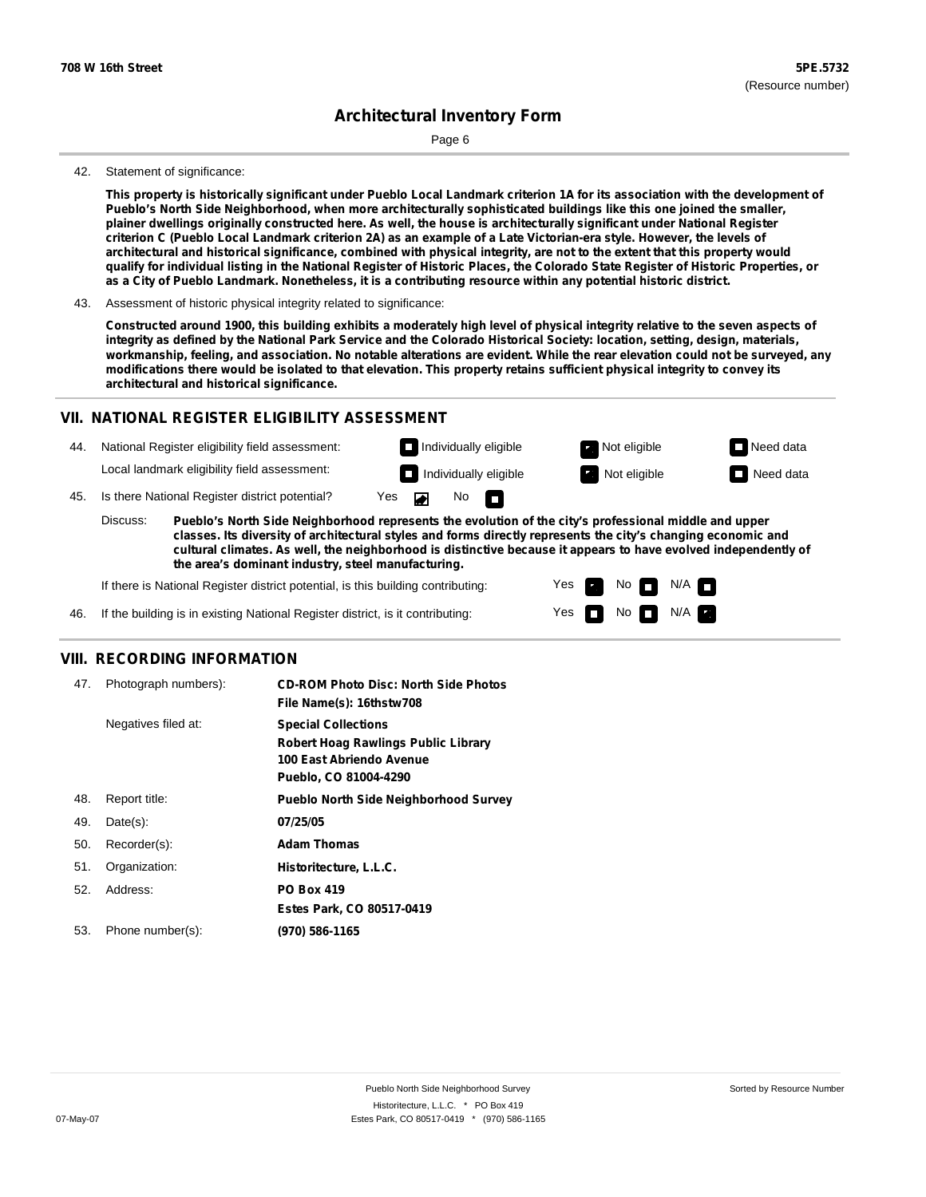Page 6

#### 42. Statement of significance:

This property is historically significant under Pueblo Local Landmark criterion 1A for its association with the development of **Pueblo's North Side Neighborhood, when more architecturally sophisticated buildings like this one joined the smaller,** plainer dwellings originally constructed here. As well, the house is architecturally significant under National Register criterion C (Pueblo Local Landmark criterion 2A) as an example of a Late Victorian-era style. However, the levels of architectural and historical significance, combined with physical integrity, are not to the extent that this property would qualify for individual listing in the National Register of Historic Places, the Colorado State Register of Historic Properties, or as a City of Pueblo Landmark. Nonetheless, it is a contributing resource within any potential historic district.

Constructed around 1900, this building exhibits a moderately high level of physical integrity relative to the seven aspects of integrity as defined by the National Park Service and the Colorado Historical Society: location, setting, design, materials, workmanship, feeling, and association. No notable alterations are evident. While the rear elevation could not be surveyed, any modifications there would be isolated to that elevation. This property retains sufficient physical integrity to convey its **architectural and historical significance.**

#### **VII. NATIONAL REGISTER ELIGIBILITY ASSESSMENT**

44. National Register eligibility field assessment: Local landmark eligibility field assessment:

45. Is there National Register district potential? Yes

**Pueblo's North Side Neighborhood represents the evolution of the city's professional middle and upper classes. Its diversity of architectural styles and forms directly represents the city's changing economic and cultural climates. As well, the neighborhood is distinctive because it appears to have evolved independently of the area's dominant industry, steel manufacturing.** Discuss:

 $\blacksquare$ 

No<sub>D</sub>

Yes Yes No

**Individually eligible Not eligible** Not eligible **Need data Individually eligible Not eligible** Not eligible **Need data** 

 $No$   $N/A$ 

 $N/A$   $\Box$ 

If there is National Register district potential, is this building contributing:



#### **VIII. RECORDING INFORMATION**

| 47. | Photograph numbers): | <b>CD-ROM Photo Disc: North Side Photos</b><br>File Name(s): 16thstw708                                                       |
|-----|----------------------|-------------------------------------------------------------------------------------------------------------------------------|
|     | Negatives filed at:  | <b>Special Collections</b><br><b>Robert Hoag Rawlings Public Library</b><br>100 East Abriendo Avenue<br>Pueblo, CO 81004-4290 |
| 48. | Report title:        | <b>Pueblo North Side Neighborhood Survey</b>                                                                                  |
| 49. | $Date(s)$ :          | 07/25/05                                                                                                                      |
| 50. | Recorder(s):         | <b>Adam Thomas</b>                                                                                                            |
| 51. | Organization:        | Historitecture, L.L.C.                                                                                                        |
| 52. | Address:             | <b>PO Box 419</b>                                                                                                             |
|     |                      | Estes Park, CO 80517-0419                                                                                                     |
| 53. | Phone number(s):     | (970) 586-1165                                                                                                                |

<sup>43.</sup> Assessment of historic physical integrity related to significance: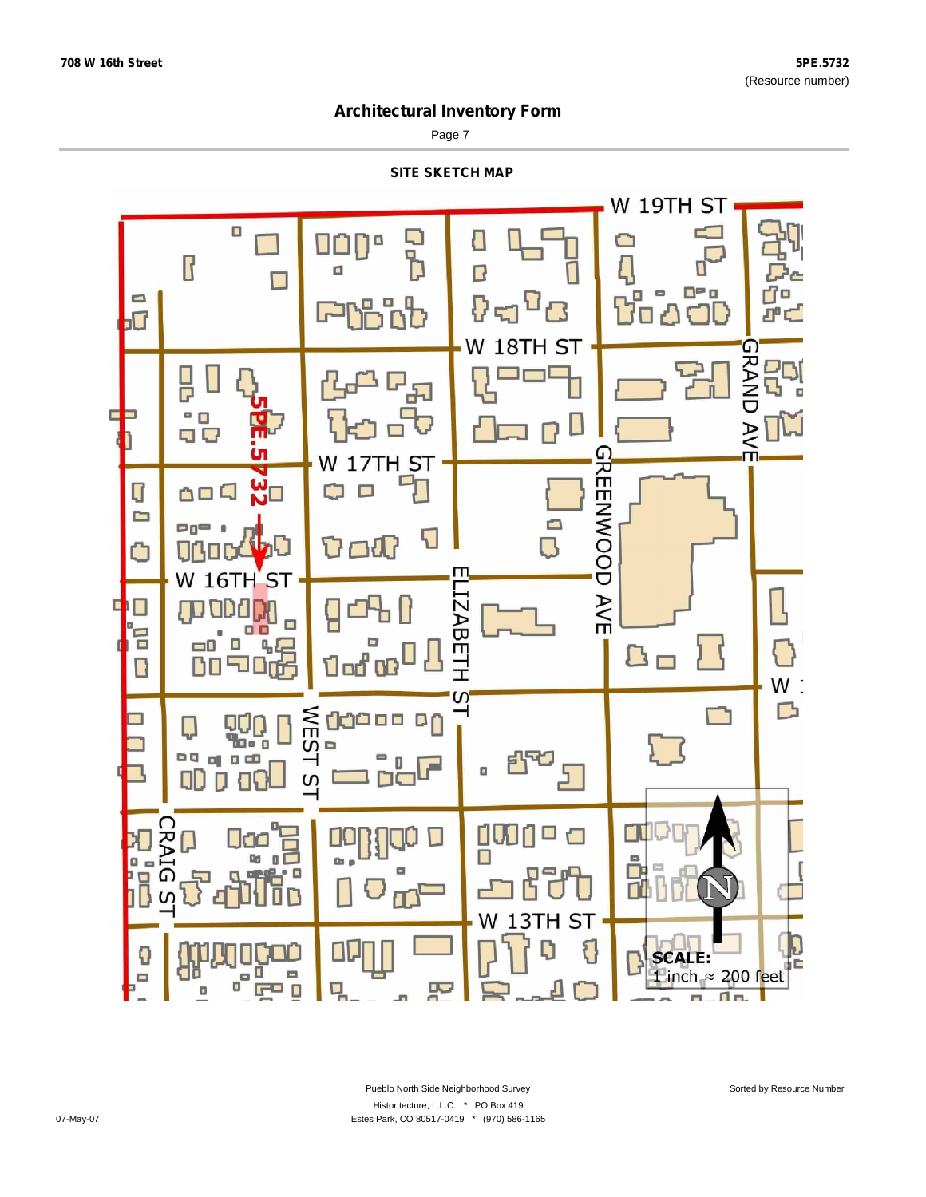Page 7